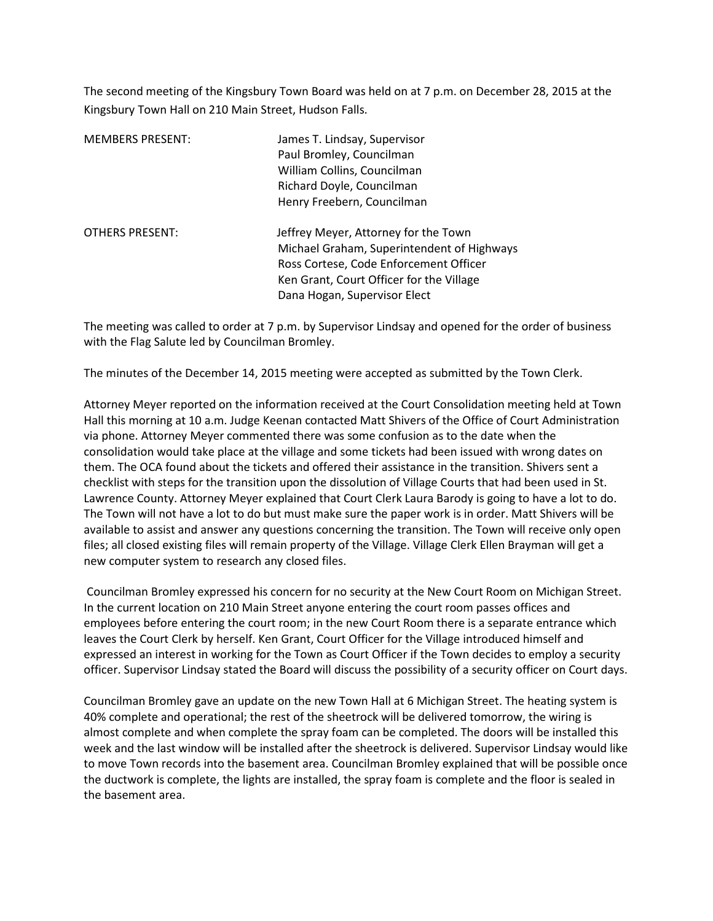The second meeting of the Kingsbury Town Board was held on at 7 p.m. on December 28, 2015 at the Kingsbury Town Hall on 210 Main Street, Hudson Falls.

| <b>MEMBERS PRESENT:</b> | James T. Lindsay, Supervisor<br>Paul Bromley, Councilman<br>William Collins, Councilman<br>Richard Doyle, Councilman<br>Henry Freebern, Councilman                                                       |
|-------------------------|----------------------------------------------------------------------------------------------------------------------------------------------------------------------------------------------------------|
| <b>OTHERS PRESENT:</b>  | Jeffrey Meyer, Attorney for the Town<br>Michael Graham, Superintendent of Highways<br>Ross Cortese, Code Enforcement Officer<br>Ken Grant, Court Officer for the Village<br>Dana Hogan, Supervisor Elect |

The meeting was called to order at 7 p.m. by Supervisor Lindsay and opened for the order of business with the Flag Salute led by Councilman Bromley.

The minutes of the December 14, 2015 meeting were accepted as submitted by the Town Clerk.

Attorney Meyer reported on the information received at the Court Consolidation meeting held at Town Hall this morning at 10 a.m. Judge Keenan contacted Matt Shivers of the Office of Court Administration via phone. Attorney Meyer commented there was some confusion as to the date when the consolidation would take place at the village and some tickets had been issued with wrong dates on them. The OCA found about the tickets and offered their assistance in the transition. Shivers sent a checklist with steps for the transition upon the dissolution of Village Courts that had been used in St. Lawrence County. Attorney Meyer explained that Court Clerk Laura Barody is going to have a lot to do. The Town will not have a lot to do but must make sure the paper work is in order. Matt Shivers will be available to assist and answer any questions concerning the transition. The Town will receive only open files; all closed existing files will remain property of the Village. Village Clerk Ellen Brayman will get a new computer system to research any closed files.

 Councilman Bromley expressed his concern for no security at the New Court Room on Michigan Street. In the current location on 210 Main Street anyone entering the court room passes offices and employees before entering the court room; in the new Court Room there is a separate entrance which leaves the Court Clerk by herself. Ken Grant, Court Officer for the Village introduced himself and expressed an interest in working for the Town as Court Officer if the Town decides to employ a security officer. Supervisor Lindsay stated the Board will discuss the possibility of a security officer on Court days.

Councilman Bromley gave an update on the new Town Hall at 6 Michigan Street. The heating system is 40% complete and operational; the rest of the sheetrock will be delivered tomorrow, the wiring is almost complete and when complete the spray foam can be completed. The doors will be installed this week and the last window will be installed after the sheetrock is delivered. Supervisor Lindsay would like to move Town records into the basement area. Councilman Bromley explained that will be possible once the ductwork is complete, the lights are installed, the spray foam is complete and the floor is sealed in the basement area.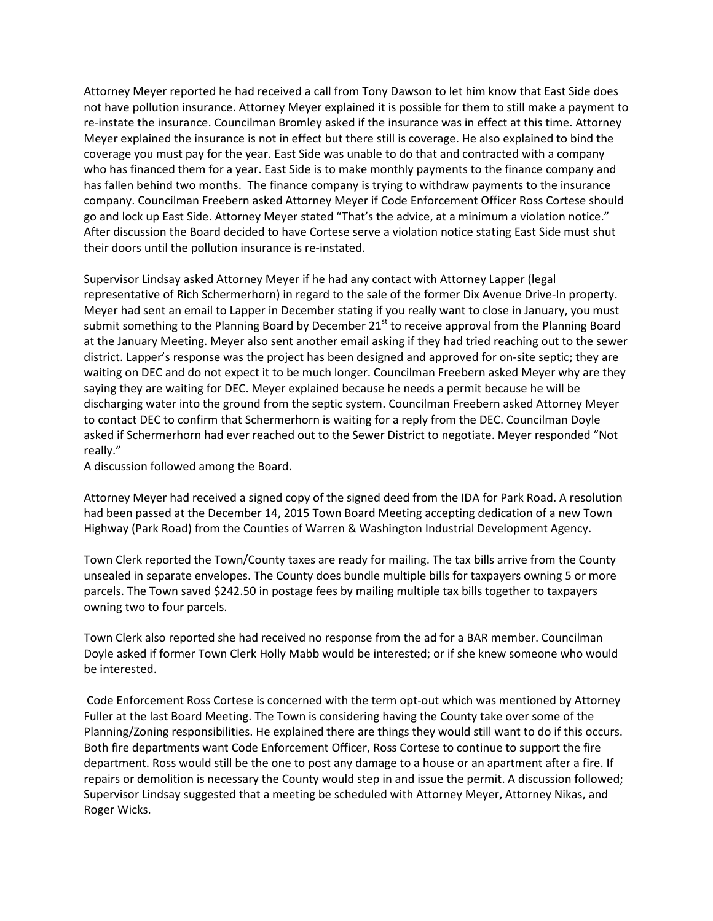Attorney Meyer reported he had received a call from Tony Dawson to let him know that East Side does not have pollution insurance. Attorney Meyer explained it is possible for them to still make a payment to re-instate the insurance. Councilman Bromley asked if the insurance was in effect at this time. Attorney Meyer explained the insurance is not in effect but there still is coverage. He also explained to bind the coverage you must pay for the year. East Side was unable to do that and contracted with a company who has financed them for a year. East Side is to make monthly payments to the finance company and has fallen behind two months. The finance company is trying to withdraw payments to the insurance company. Councilman Freebern asked Attorney Meyer if Code Enforcement Officer Ross Cortese should go and lock up East Side. Attorney Meyer stated "That's the advice, at a minimum a violation notice." After discussion the Board decided to have Cortese serve a violation notice stating East Side must shut their doors until the pollution insurance is re-instated.

Supervisor Lindsay asked Attorney Meyer if he had any contact with Attorney Lapper (legal representative of Rich Schermerhorn) in regard to the sale of the former Dix Avenue Drive-In property. Meyer had sent an email to Lapper in December stating if you really want to close in January, you must submit something to the Planning Board by December  $21<sup>st</sup>$  to receive approval from the Planning Board at the January Meeting. Meyer also sent another email asking if they had tried reaching out to the sewer district. Lapper's response was the project has been designed and approved for on-site septic; they are waiting on DEC and do not expect it to be much longer. Councilman Freebern asked Meyer why are they saying they are waiting for DEC. Meyer explained because he needs a permit because he will be discharging water into the ground from the septic system. Councilman Freebern asked Attorney Meyer to contact DEC to confirm that Schermerhorn is waiting for a reply from the DEC. Councilman Doyle asked if Schermerhorn had ever reached out to the Sewer District to negotiate. Meyer responded "Not really."

A discussion followed among the Board.

Attorney Meyer had received a signed copy of the signed deed from the IDA for Park Road. A resolution had been passed at the December 14, 2015 Town Board Meeting accepting dedication of a new Town Highway (Park Road) from the Counties of Warren & Washington Industrial Development Agency.

Town Clerk reported the Town/County taxes are ready for mailing. The tax bills arrive from the County unsealed in separate envelopes. The County does bundle multiple bills for taxpayers owning 5 or more parcels. The Town saved \$242.50 in postage fees by mailing multiple tax bills together to taxpayers owning two to four parcels.

Town Clerk also reported she had received no response from the ad for a BAR member. Councilman Doyle asked if former Town Clerk Holly Mabb would be interested; or if she knew someone who would be interested.

 Code Enforcement Ross Cortese is concerned with the term opt-out which was mentioned by Attorney Fuller at the last Board Meeting. The Town is considering having the County take over some of the Planning/Zoning responsibilities. He explained there are things they would still want to do if this occurs. Both fire departments want Code Enforcement Officer, Ross Cortese to continue to support the fire department. Ross would still be the one to post any damage to a house or an apartment after a fire. If repairs or demolition is necessary the County would step in and issue the permit. A discussion followed; Supervisor Lindsay suggested that a meeting be scheduled with Attorney Meyer, Attorney Nikas, and Roger Wicks.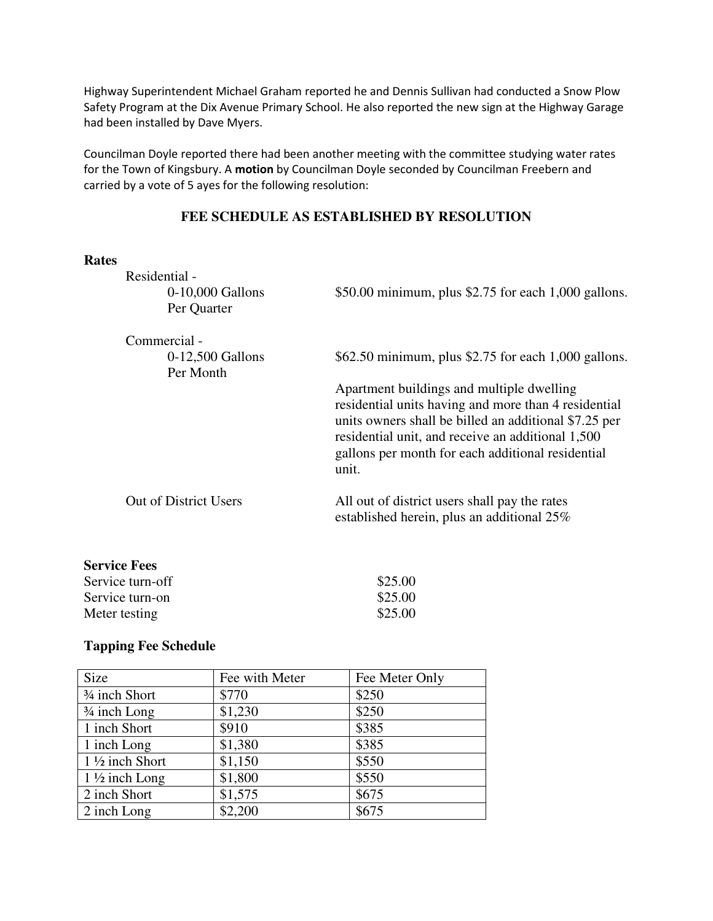Highway Superintendent Michael Graham reported he and Dennis Sullivan had conducted a Snow Plow Safety Program at the Dix Avenue Primary School. He also reported the new sign at the Highway Garage had been installed by Dave Myers.

Councilman Doyle reported there had been another meeting with the committee studying water rates for the Town of Kingsbury. A **motion** by Councilman Doyle seconded by Councilman Freebern and carried by a vote of 5 ayes for the following resolution:

## **FEE SCHEDULE AS ESTABLISHED BY RESOLUTION**

## **Rates**

| Residential -                     |                                                                                                                                                                                                                                                                               |
|-----------------------------------|-------------------------------------------------------------------------------------------------------------------------------------------------------------------------------------------------------------------------------------------------------------------------------|
| $0-10,000$ Gallons<br>Per Quarter | $$50.00$ minimum, plus \$2.75 for each 1,000 gallons.                                                                                                                                                                                                                         |
| Commercial -                      |                                                                                                                                                                                                                                                                               |
| $0-12,500$ Gallons<br>Per Month   | \$62.50 minimum, plus \$2.75 for each 1,000 gallons.                                                                                                                                                                                                                          |
|                                   | Apartment buildings and multiple dwelling<br>residential units having and more than 4 residential<br>units owners shall be billed an additional \$7.25 per<br>residential unit, and receive an additional 1,500<br>gallons per month for each additional residential<br>unit. |
| <b>Out of District Users</b>      | All out of district users shall pay the rates<br>established herein, plus an additional 25%                                                                                                                                                                                   |
| <b>Service Fees</b>               |                                                                                                                                                                                                                                                                               |
| Service turn-off                  | \$25.00                                                                                                                                                                                                                                                                       |
| Service turn-on                   | \$25.00                                                                                                                                                                                                                                                                       |

## **Tapping Fee Schedule**

| Size                      | Fee with Meter | Fee Meter Only |
|---------------------------|----------------|----------------|
| <sup>3/4</sup> inch Short | \$770          | \$250          |
| $\frac{3}{4}$ inch Long   | \$1,230        | \$250          |
| 1 inch Short              | \$910          | \$385          |
| 1 inch Long               | \$1,380        | \$385          |
| 1 1/2 inch Short          | \$1,150        | \$550          |
| $1\frac{1}{2}$ inch Long  | \$1,800        | \$550          |
| 2 inch Short              | \$1,575        | \$675          |
| 2 inch Long               | \$2,200        | \$675          |

Meter testing \$25.00